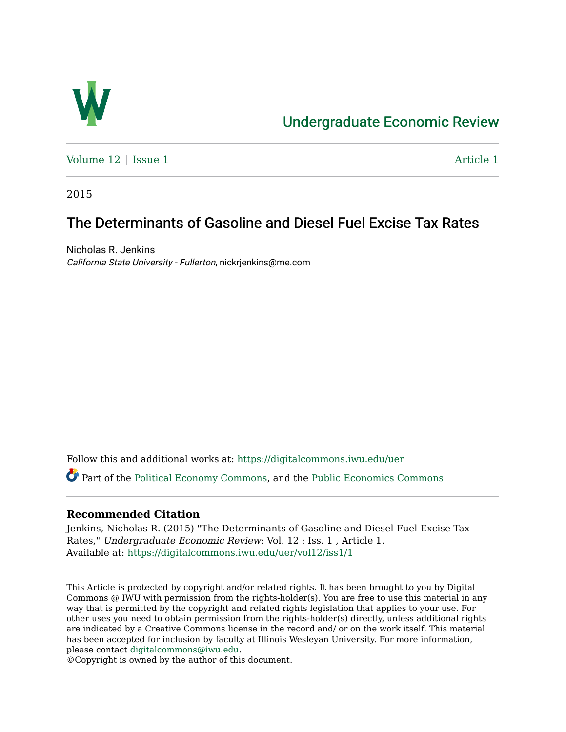

# [Undergraduate Economic Review](https://digitalcommons.iwu.edu/uer)

[Volume 12](https://digitalcommons.iwu.edu/uer/vol12) | [Issue 1](https://digitalcommons.iwu.edu/uer/vol12/iss1) Article 1

2015

## The Determinants of Gasoline and Diesel Fuel Excise Tax Rates

Nicholas R. Jenkins California State University - Fullerton, nickrjenkins@me.com

Follow this and additional works at: [https://digitalcommons.iwu.edu/uer](https://digitalcommons.iwu.edu/uer?utm_source=digitalcommons.iwu.edu%2Fuer%2Fvol12%2Fiss1%2F1&utm_medium=PDF&utm_campaign=PDFCoverPages)

Part of the [Political Economy Commons](http://network.bepress.com/hgg/discipline/352?utm_source=digitalcommons.iwu.edu%2Fuer%2Fvol12%2Fiss1%2F1&utm_medium=PDF&utm_campaign=PDFCoverPages), and the [Public Economics Commons](http://network.bepress.com/hgg/discipline/351?utm_source=digitalcommons.iwu.edu%2Fuer%2Fvol12%2Fiss1%2F1&utm_medium=PDF&utm_campaign=PDFCoverPages) 

## **Recommended Citation**

Jenkins, Nicholas R. (2015) "The Determinants of Gasoline and Diesel Fuel Excise Tax Rates," Undergraduate Economic Review: Vol. 12 : Iss. 1 , Article 1. Available at: [https://digitalcommons.iwu.edu/uer/vol12/iss1/1](https://digitalcommons.iwu.edu/uer/vol12/iss1/1?utm_source=digitalcommons.iwu.edu%2Fuer%2Fvol12%2Fiss1%2F1&utm_medium=PDF&utm_campaign=PDFCoverPages)

This Article is protected by copyright and/or related rights. It has been brought to you by Digital Commons @ IWU with permission from the rights-holder(s). You are free to use this material in any way that is permitted by the copyright and related rights legislation that applies to your use. For other uses you need to obtain permission from the rights-holder(s) directly, unless additional rights are indicated by a Creative Commons license in the record and/ or on the work itself. This material has been accepted for inclusion by faculty at Illinois Wesleyan University. For more information, please contact [digitalcommons@iwu.edu.](mailto:digitalcommons@iwu.edu)

©Copyright is owned by the author of this document.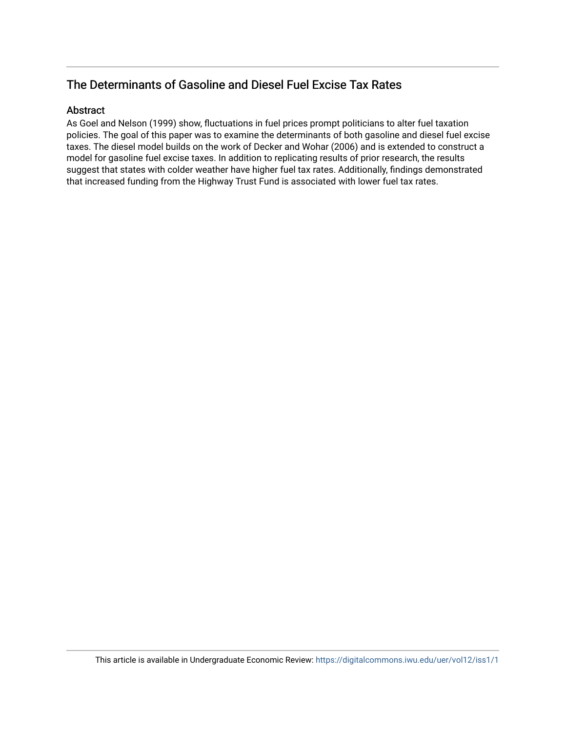## The Determinants of Gasoline and Diesel Fuel Excise Tax Rates

## Abstract

As Goel and Nelson (1999) show, fluctuations in fuel prices prompt politicians to alter fuel taxation policies. The goal of this paper was to examine the determinants of both gasoline and diesel fuel excise taxes. The diesel model builds on the work of Decker and Wohar (2006) and is extended to construct a model for gasoline fuel excise taxes. In addition to replicating results of prior research, the results suggest that states with colder weather have higher fuel tax rates. Additionally, findings demonstrated that increased funding from the Highway Trust Fund is associated with lower fuel tax rates.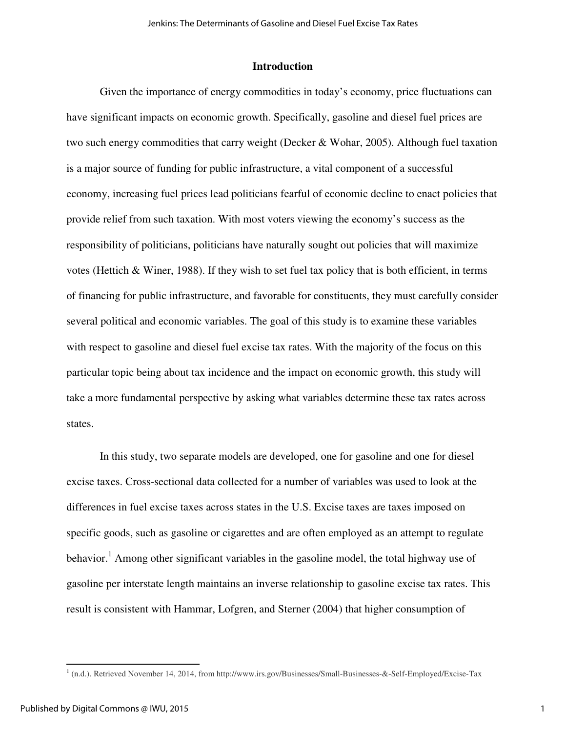### **Introduction**

Given the importance of energy commodities in today's economy, price fluctuations can have significant impacts on economic growth. Specifically, gasoline and diesel fuel prices are two such energy commodities that carry weight (Decker & Wohar, 2005). Although fuel taxation is a major source of funding for public infrastructure, a vital component of a successful economy, increasing fuel prices lead politicians fearful of economic decline to enact policies that provide relief from such taxation. With most voters viewing the economy's success as the responsibility of politicians, politicians have naturally sought out policies that will maximize votes (Hettich & Winer, 1988). If they wish to set fuel tax policy that is both efficient, in terms of financing for public infrastructure, and favorable for constituents, they must carefully consider several political and economic variables. The goal of this study is to examine these variables with respect to gasoline and diesel fuel excise tax rates. With the majority of the focus on this particular topic being about tax incidence and the impact on economic growth, this study will take a more fundamental perspective by asking what variables determine these tax rates across states.

In this study, two separate models are developed, one for gasoline and one for diesel excise taxes. Cross-sectional data collected for a number of variables was used to look at the differences in fuel excise taxes across states in the U.S. Excise taxes are taxes imposed on specific goods, such as gasoline or cigarettes and are often employed as an attempt to regulate behavior.<sup>1</sup> Among other significant variables in the gasoline model, the total highway use of gasoline per interstate length maintains an inverse relationship to gasoline excise tax rates. This result is consistent with Hammar, Lofgren, and Sterner (2004) that higher consumption of

 $\overline{\phantom{0}}$ 

<sup>1</sup> (n.d.). Retrieved November 14, 2014, from http://www.irs.gov/Businesses/Small-Businesses-&-Self-Employed/Excise-Tax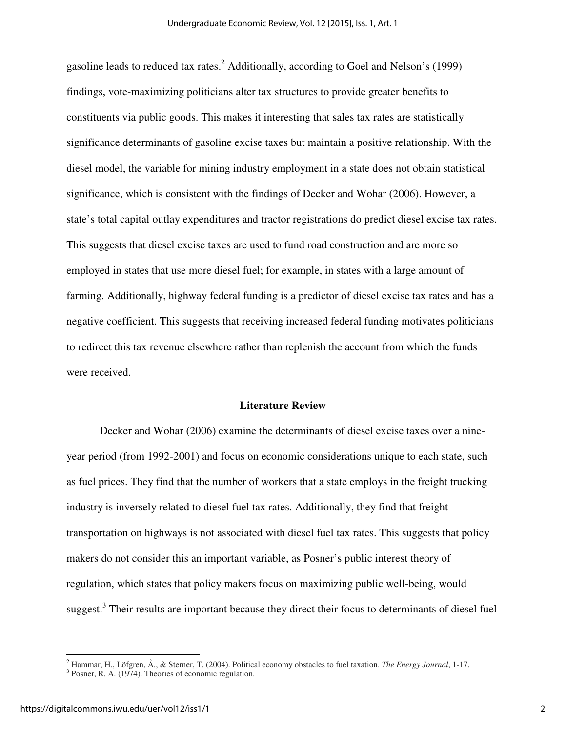gasoline leads to reduced tax rates.<sup>2</sup> Additionally, according to Goel and Nelson's (1999) findings, vote-maximizing politicians alter tax structures to provide greater benefits to constituents via public goods. This makes it interesting that sales tax rates are statistically significance determinants of gasoline excise taxes but maintain a positive relationship. With the diesel model, the variable for mining industry employment in a state does not obtain statistical significance, which is consistent with the findings of Decker and Wohar (2006). However, a state's total capital outlay expenditures and tractor registrations do predict diesel excise tax rates. This suggests that diesel excise taxes are used to fund road construction and are more so employed in states that use more diesel fuel; for example, in states with a large amount of farming. Additionally, highway federal funding is a predictor of diesel excise tax rates and has a negative coefficient. This suggests that receiving increased federal funding motivates politicians to redirect this tax revenue elsewhere rather than replenish the account from which the funds were received.

#### **Literature Review**

Decker and Wohar (2006) examine the determinants of diesel excise taxes over a nineyear period (from 1992-2001) and focus on economic considerations unique to each state, such as fuel prices. They find that the number of workers that a state employs in the freight trucking industry is inversely related to diesel fuel tax rates. Additionally, they find that freight transportation on highways is not associated with diesel fuel tax rates. This suggests that policy makers do not consider this an important variable, as Posner's public interest theory of regulation, which states that policy makers focus on maximizing public well-being, would suggest.<sup>3</sup> Their results are important because they direct their focus to determinants of diesel fuel

ı

<sup>2</sup> Hammar, H., Löfgren, Å., & Sterner, T. (2004). Political economy obstacles to fuel taxation. *The Energy Journal*, 1-17. 3 Posner, R. A. (1974). Theories of economic regulation.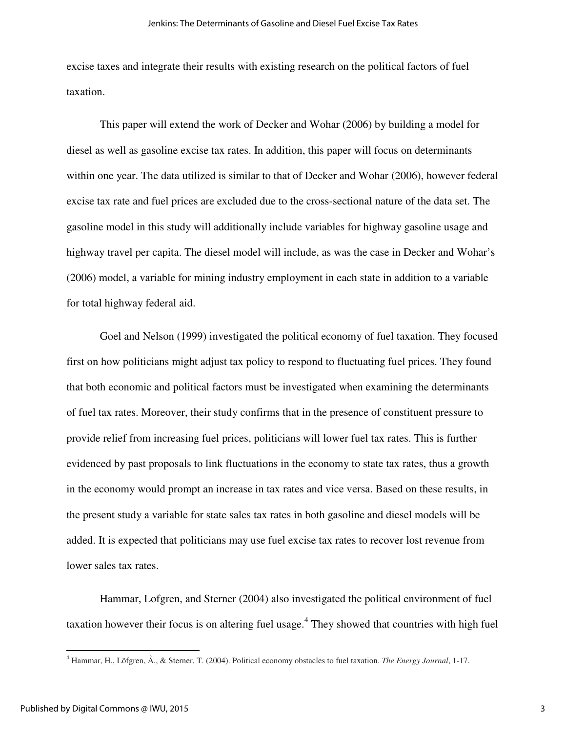excise taxes and integrate their results with existing research on the political factors of fuel taxation.

This paper will extend the work of Decker and Wohar (2006) by building a model for diesel as well as gasoline excise tax rates. In addition, this paper will focus on determinants within one year. The data utilized is similar to that of Decker and Wohar (2006), however federal excise tax rate and fuel prices are excluded due to the cross-sectional nature of the data set. The gasoline model in this study will additionally include variables for highway gasoline usage and highway travel per capita. The diesel model will include, as was the case in Decker and Wohar's (2006) model, a variable for mining industry employment in each state in addition to a variable for total highway federal aid.

 Goel and Nelson (1999) investigated the political economy of fuel taxation. They focused first on how politicians might adjust tax policy to respond to fluctuating fuel prices. They found that both economic and political factors must be investigated when examining the determinants of fuel tax rates. Moreover, their study confirms that in the presence of constituent pressure to provide relief from increasing fuel prices, politicians will lower fuel tax rates. This is further evidenced by past proposals to link fluctuations in the economy to state tax rates, thus a growth in the economy would prompt an increase in tax rates and vice versa. Based on these results, in the present study a variable for state sales tax rates in both gasoline and diesel models will be added. It is expected that politicians may use fuel excise tax rates to recover lost revenue from lower sales tax rates.

 Hammar, Lofgren, and Sterner (2004) also investigated the political environment of fuel taxation however their focus is on altering fuel usage.<sup>4</sup> They showed that countries with high fuel

 $\overline{\phantom{0}}$ 

<sup>4</sup> Hammar, H., Löfgren, Å., & Sterner, T. (2004). Political economy obstacles to fuel taxation. *The Energy Journal*, 1-17.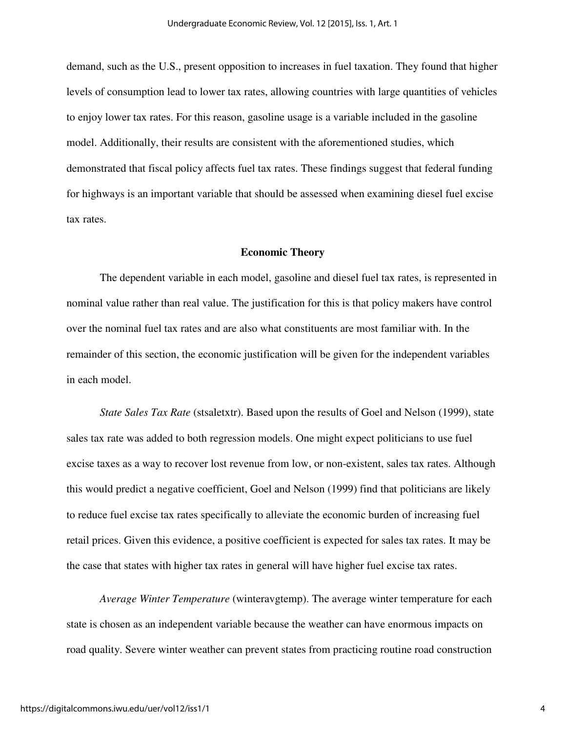demand, such as the U.S., present opposition to increases in fuel taxation. They found that higher levels of consumption lead to lower tax rates, allowing countries with large quantities of vehicles to enjoy lower tax rates. For this reason, gasoline usage is a variable included in the gasoline model. Additionally, their results are consistent with the aforementioned studies, which demonstrated that fiscal policy affects fuel tax rates. These findings suggest that federal funding for highways is an important variable that should be assessed when examining diesel fuel excise tax rates.

#### **Economic Theory**

The dependent variable in each model, gasoline and diesel fuel tax rates, is represented in nominal value rather than real value. The justification for this is that policy makers have control over the nominal fuel tax rates and are also what constituents are most familiar with. In the remainder of this section, the economic justification will be given for the independent variables in each model.

*State Sales Tax Rate* (stsaletxtr). Based upon the results of Goel and Nelson (1999), state sales tax rate was added to both regression models. One might expect politicians to use fuel excise taxes as a way to recover lost revenue from low, or non-existent, sales tax rates. Although this would predict a negative coefficient, Goel and Nelson (1999) find that politicians are likely to reduce fuel excise tax rates specifically to alleviate the economic burden of increasing fuel retail prices. Given this evidence, a positive coefficient is expected for sales tax rates. It may be the case that states with higher tax rates in general will have higher fuel excise tax rates.

*Average Winter Temperature* (winteravgtemp). The average winter temperature for each state is chosen as an independent variable because the weather can have enormous impacts on road quality. Severe winter weather can prevent states from practicing routine road construction

4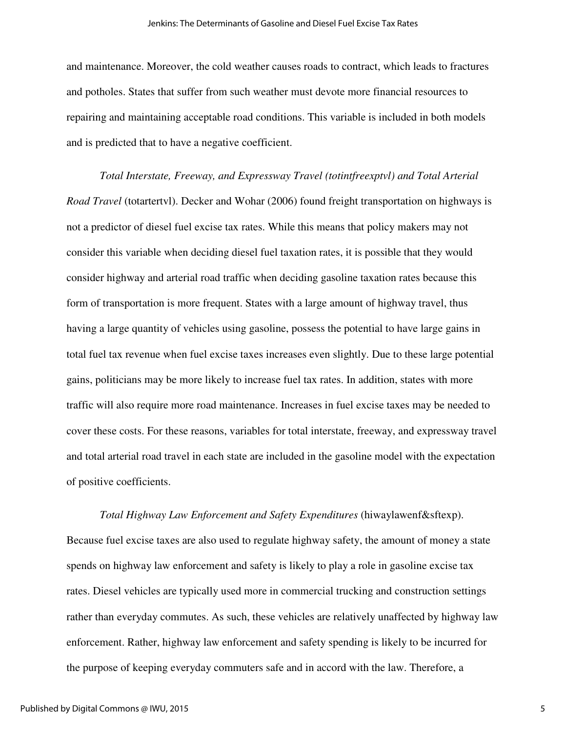and maintenance. Moreover, the cold weather causes roads to contract, which leads to fractures and potholes. States that suffer from such weather must devote more financial resources to repairing and maintaining acceptable road conditions. This variable is included in both models and is predicted that to have a negative coefficient.

*Total Interstate, Freeway, and Expressway Travel (totintfreexptvl) and Total Arterial Road Travel* (totartertvl). Decker and Wohar (2006) found freight transportation on highways is not a predictor of diesel fuel excise tax rates. While this means that policy makers may not consider this variable when deciding diesel fuel taxation rates, it is possible that they would consider highway and arterial road traffic when deciding gasoline taxation rates because this form of transportation is more frequent. States with a large amount of highway travel, thus having a large quantity of vehicles using gasoline, possess the potential to have large gains in total fuel tax revenue when fuel excise taxes increases even slightly. Due to these large potential gains, politicians may be more likely to increase fuel tax rates. In addition, states with more traffic will also require more road maintenance. Increases in fuel excise taxes may be needed to cover these costs. For these reasons, variables for total interstate, freeway, and expressway travel and total arterial road travel in each state are included in the gasoline model with the expectation of positive coefficients.

*Total Highway Law Enforcement and Safety Expenditures* (hiwaylawenf&sftexp). Because fuel excise taxes are also used to regulate highway safety, the amount of money a state spends on highway law enforcement and safety is likely to play a role in gasoline excise tax rates. Diesel vehicles are typically used more in commercial trucking and construction settings rather than everyday commutes. As such, these vehicles are relatively unaffected by highway law enforcement. Rather, highway law enforcement and safety spending is likely to be incurred for the purpose of keeping everyday commuters safe and in accord with the law. Therefore, a

5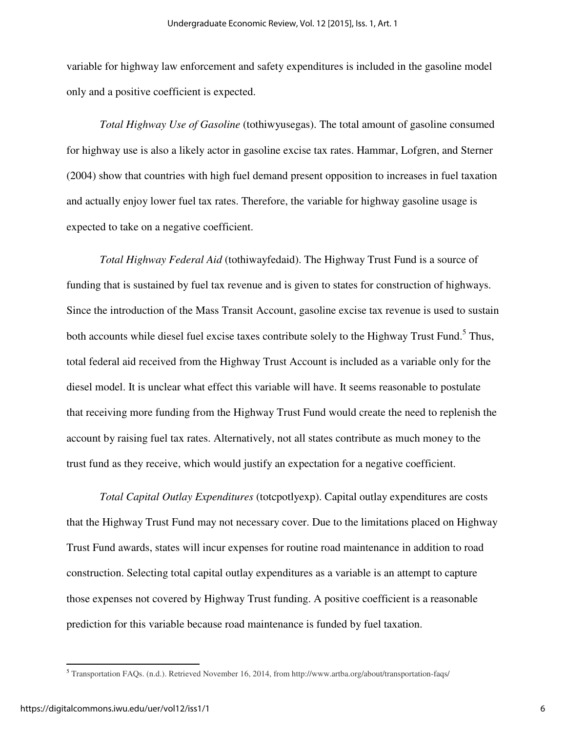variable for highway law enforcement and safety expenditures is included in the gasoline model only and a positive coefficient is expected.

*Total Highway Use of Gasoline* (tothiwyusegas). The total amount of gasoline consumed for highway use is also a likely actor in gasoline excise tax rates. Hammar, Lofgren, and Sterner (2004) show that countries with high fuel demand present opposition to increases in fuel taxation and actually enjoy lower fuel tax rates. Therefore, the variable for highway gasoline usage is expected to take on a negative coefficient.

*Total Highway Federal Aid* (tothiwayfedaid). The Highway Trust Fund is a source of funding that is sustained by fuel tax revenue and is given to states for construction of highways. Since the introduction of the Mass Transit Account, gasoline excise tax revenue is used to sustain both accounts while diesel fuel excise taxes contribute solely to the Highway Trust Fund.<sup>5</sup> Thus, total federal aid received from the Highway Trust Account is included as a variable only for the diesel model. It is unclear what effect this variable will have. It seems reasonable to postulate that receiving more funding from the Highway Trust Fund would create the need to replenish the account by raising fuel tax rates. Alternatively, not all states contribute as much money to the trust fund as they receive, which would justify an expectation for a negative coefficient.

*Total Capital Outlay Expenditures* (totcpotlyexp). Capital outlay expenditures are costs that the Highway Trust Fund may not necessary cover. Due to the limitations placed on Highway Trust Fund awards, states will incur expenses for routine road maintenance in addition to road construction. Selecting total capital outlay expenditures as a variable is an attempt to capture those expenses not covered by Highway Trust funding. A positive coefficient is a reasonable prediction for this variable because road maintenance is funded by fuel taxation.

<u>.</u>

<sup>5</sup> Transportation FAQs. (n.d.). Retrieved November 16, 2014, from http://www.artba.org/about/transportation-faqs/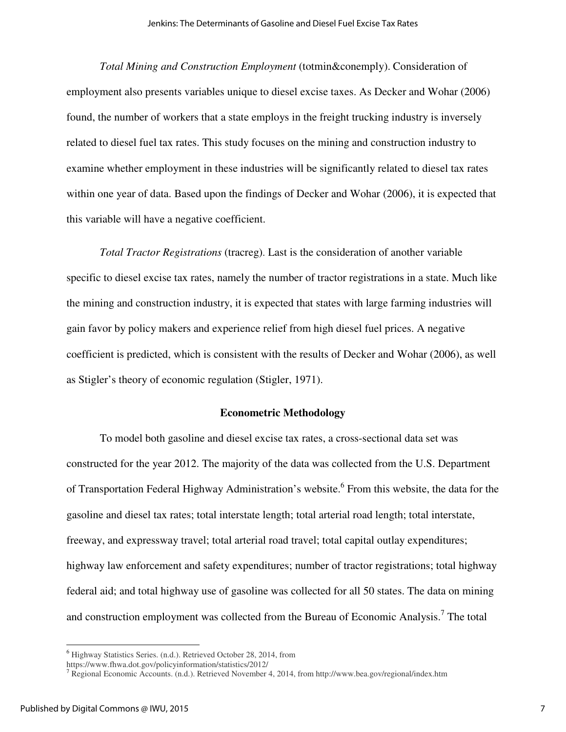*Total Mining and Construction Employment* (totmin&conemply). Consideration of employment also presents variables unique to diesel excise taxes. As Decker and Wohar (2006) found, the number of workers that a state employs in the freight trucking industry is inversely related to diesel fuel tax rates. This study focuses on the mining and construction industry to examine whether employment in these industries will be significantly related to diesel tax rates within one year of data. Based upon the findings of Decker and Wohar (2006), it is expected that this variable will have a negative coefficient.

*Total Tractor Registrations* (tracreg). Last is the consideration of another variable specific to diesel excise tax rates, namely the number of tractor registrations in a state. Much like the mining and construction industry, it is expected that states with large farming industries will gain favor by policy makers and experience relief from high diesel fuel prices. A negative coefficient is predicted, which is consistent with the results of Decker and Wohar (2006), as well as Stigler's theory of economic regulation (Stigler, 1971).

#### **Econometric Methodology**

 To model both gasoline and diesel excise tax rates, a cross-sectional data set was constructed for the year 2012. The majority of the data was collected from the U.S. Department of Transportation Federal Highway Administration's website. <sup>6</sup> From this website, the data for the gasoline and diesel tax rates; total interstate length; total arterial road length; total interstate, freeway, and expressway travel; total arterial road travel; total capital outlay expenditures; highway law enforcement and safety expenditures; number of tractor registrations; total highway federal aid; and total highway use of gasoline was collected for all 50 states. The data on mining and construction employment was collected from the Bureau of Economic Analysis.<sup>7</sup> The total

 $\overline{\phantom{0}}$ 

<sup>6</sup> Highway Statistics Series. (n.d.). Retrieved October 28, 2014, from

https://www.fhwa.dot.gov/policyinformation/statistics/2012/

<sup>7</sup> Regional Economic Accounts. (n.d.). Retrieved November 4, 2014, from http://www.bea.gov/regional/index.htm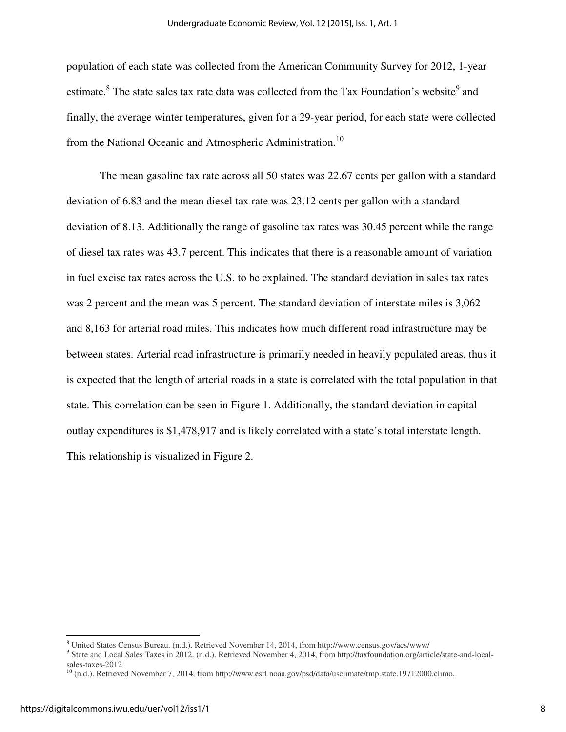population of each state was collected from the American Community Survey for 2012, 1-year estimate.<sup>8</sup> The state sales tax rate data was collected from the Tax Foundation's website<sup>9</sup> and finally, the average winter temperatures, given for a 29-year period, for each state were collected from the National Oceanic and Atmospheric Administration.<sup>10</sup>

The mean gasoline tax rate across all 50 states was 22.67 cents per gallon with a standard deviation of 6.83 and the mean diesel tax rate was 23.12 cents per gallon with a standard deviation of 8.13. Additionally the range of gasoline tax rates was 30.45 percent while the range of diesel tax rates was 43.7 percent. This indicates that there is a reasonable amount of variation in fuel excise tax rates across the U.S. to be explained. The standard deviation in sales tax rates was 2 percent and the mean was 5 percent. The standard deviation of interstate miles is 3,062 and 8,163 for arterial road miles. This indicates how much different road infrastructure may be between states. Arterial road infrastructure is primarily needed in heavily populated areas, thus it is expected that the length of arterial roads in a state is correlated with the total population in that state. This correlation can be seen in Figure 1. Additionally, the standard deviation in capital outlay expenditures is \$1,478,917 and is likely correlated with a state's total interstate length. This relationship is visualized in Figure 2.

 $\overline{\phantom{0}}$ 

<sup>8</sup> United States Census Bureau. (n.d.). Retrieved November 14, 2014, from http://www.census.gov/acs/www/

<sup>9</sup> State and Local Sales Taxes in 2012. (n.d.). Retrieved November 4, 2014, from http://taxfoundation.org/article/state-and-localsales-taxes-2012

 $10$  (n.d.). Retrieved November 7, 2014, from http://www.esrl.noaa.gov/psd/data/usclimate/tmp.state.19712000.climo.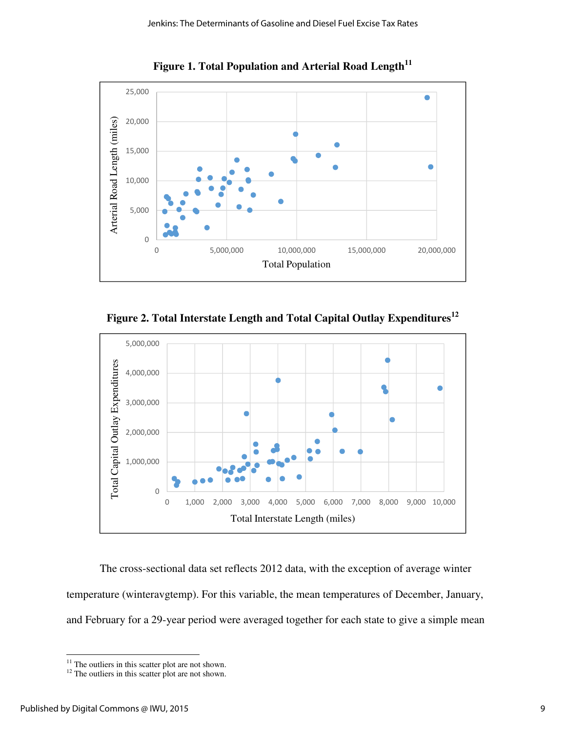

**Figure 1. Total Population and Arterial Road Length<sup>11</sup>**

**Figure 2. Total Interstate Length and Total Capital Outlay Expenditures<sup>12</sup>**



The cross-sectional data set reflects 2012 data, with the exception of average winter temperature (winteravgtemp). For this variable, the mean temperatures of December, January, and February for a 29-year period were averaged together for each state to give a simple mean

ı

 $11$  The outliers in this scatter plot are not shown.

 $12$  The outliers in this scatter plot are not shown.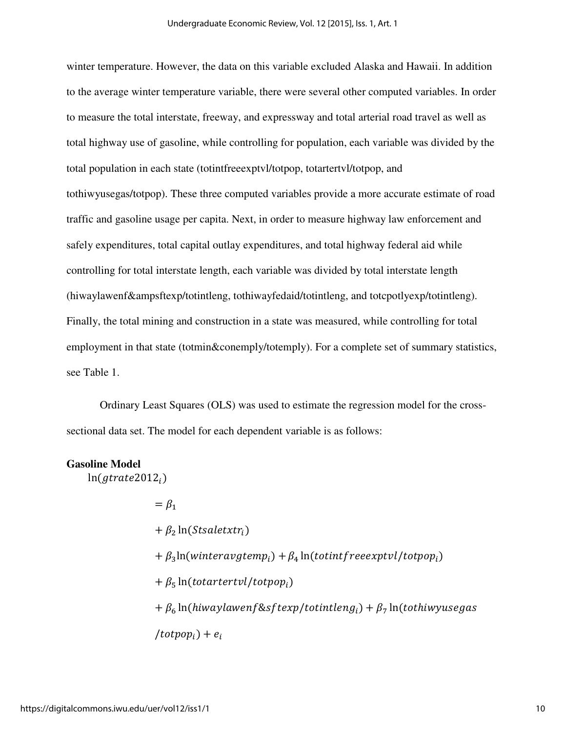winter temperature. However, the data on this variable excluded Alaska and Hawaii. In addition to the average winter temperature variable, there were several other computed variables. In order to measure the total interstate, freeway, and expressway and total arterial road travel as well as total highway use of gasoline, while controlling for population, each variable was divided by the total population in each state (totintfreeexptvl/totpop, totartertvl/totpop, and tothiwyusegas/totpop). These three computed variables provide a more accurate estimate of road traffic and gasoline usage per capita. Next, in order to measure highway law enforcement and safely expenditures, total capital outlay expenditures, and total highway federal aid while controlling for total interstate length, each variable was divided by total interstate length (hiwaylawenf&ampsftexp/totintleng, tothiwayfedaid/totintleng, and totcpotlyexp/totintleng). Finally, the total mining and construction in a state was measured, while controlling for total employment in that state (totmin&conemply/totemply). For a complete set of summary statistics, see Table 1.

 Ordinary Least Squares (OLS) was used to estimate the regression model for the crosssectional data set. The model for each dependent variable is as follows:

### **Gasoline Model**

 $ln(gtracte2012_i)$ 

 $=$   $\beta_1$  $+ \beta_2 \ln(Stsaletxtr_i)$  $+\beta_3 \ln(\text{winteravgtemp}_i) + \beta_4 \ln(\text{tot} \text{inf} \text{rece} \text{xt} \text{ivl} / \text{tot} \text{pop}_i)$  $+ \beta_5 \ln(totartertvl/totpop_i)$  $+ \beta_6 \ln(hiwaylawen f \& sftexp/totintleng_i) + \beta_7 \ln(tothiwyusegas)$  $/totpop_i) + e_i$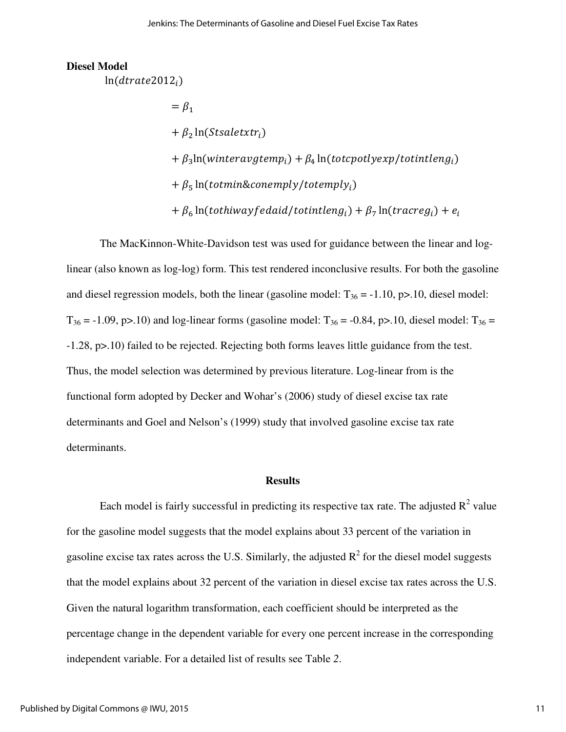#### **Diesel Model**

 $ln(dtrate2012_i)$ 

 $=\beta_1$ +  $\beta_2$  ln(Stsaletxtr<sub>i</sub>)  $+\beta_3$ ln(winteravgtemp<sub>i</sub>) +  $\beta_4$  ln(totcpotlyexp/totintleng<sub>i</sub>)  $+ \beta_5 \ln(totmin\&conempty/totempty)$ +  $\beta_6$  ln(tothiwayf edaid/totintleng<sub>i</sub>) +  $\beta_7$  ln(tracreg<sub>i</sub>) +  $e_i$ 

The MacKinnon-White-Davidson test was used for guidance between the linear and loglinear (also known as log-log) form. This test rendered inconclusive results. For both the gasoline and diesel regression models, both the linear (gasoline model:  $T_{36} = -1.10$ , p $> 10$ , diesel model:  $T_{36} = -1.09$ , p>.10) and log-linear forms (gasoline model:  $T_{36} = -0.84$ , p>.10, diesel model:  $T_{36} =$ -1.28, p>.10) failed to be rejected. Rejecting both forms leaves little guidance from the test. Thus, the model selection was determined by previous literature. Log-linear from is the functional form adopted by Decker and Wohar's (2006) study of diesel excise tax rate determinants and Goel and Nelson's (1999) study that involved gasoline excise tax rate determinants.

#### **Results**

Each model is fairly successful in predicting its respective tax rate. The adjusted  $R^2$  value for the gasoline model suggests that the model explains about 33 percent of the variation in gasoline excise tax rates across the U.S. Similarly, the adjusted  $R^2$  for the diesel model suggests that the model explains about 32 percent of the variation in diesel excise tax rates across the U.S. Given the natural logarithm transformation, each coefficient should be interpreted as the percentage change in the dependent variable for every one percent increase in the corresponding independent variable. For a detailed list of results see Table *2*.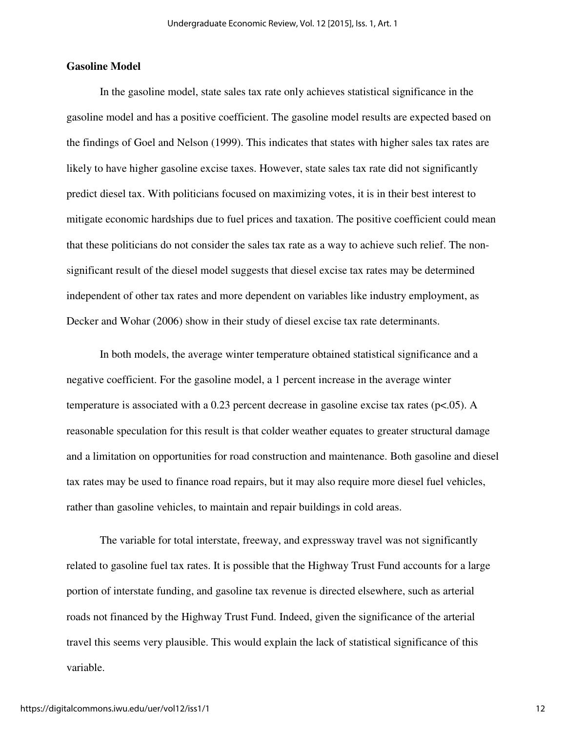## **Gasoline Model**

In the gasoline model, state sales tax rate only achieves statistical significance in the gasoline model and has a positive coefficient. The gasoline model results are expected based on the findings of Goel and Nelson (1999). This indicates that states with higher sales tax rates are likely to have higher gasoline excise taxes. However, state sales tax rate did not significantly predict diesel tax. With politicians focused on maximizing votes, it is in their best interest to mitigate economic hardships due to fuel prices and taxation. The positive coefficient could mean that these politicians do not consider the sales tax rate as a way to achieve such relief. The nonsignificant result of the diesel model suggests that diesel excise tax rates may be determined independent of other tax rates and more dependent on variables like industry employment, as Decker and Wohar (2006) show in their study of diesel excise tax rate determinants.

 In both models, the average winter temperature obtained statistical significance and a negative coefficient. For the gasoline model, a 1 percent increase in the average winter temperature is associated with a 0.23 percent decrease in gasoline excise tax rates (p<.05). A reasonable speculation for this result is that colder weather equates to greater structural damage and a limitation on opportunities for road construction and maintenance. Both gasoline and diesel tax rates may be used to finance road repairs, but it may also require more diesel fuel vehicles, rather than gasoline vehicles, to maintain and repair buildings in cold areas.

The variable for total interstate, freeway, and expressway travel was not significantly related to gasoline fuel tax rates. It is possible that the Highway Trust Fund accounts for a large portion of interstate funding, and gasoline tax revenue is directed elsewhere, such as arterial roads not financed by the Highway Trust Fund. Indeed, given the significance of the arterial travel this seems very plausible. This would explain the lack of statistical significance of this variable.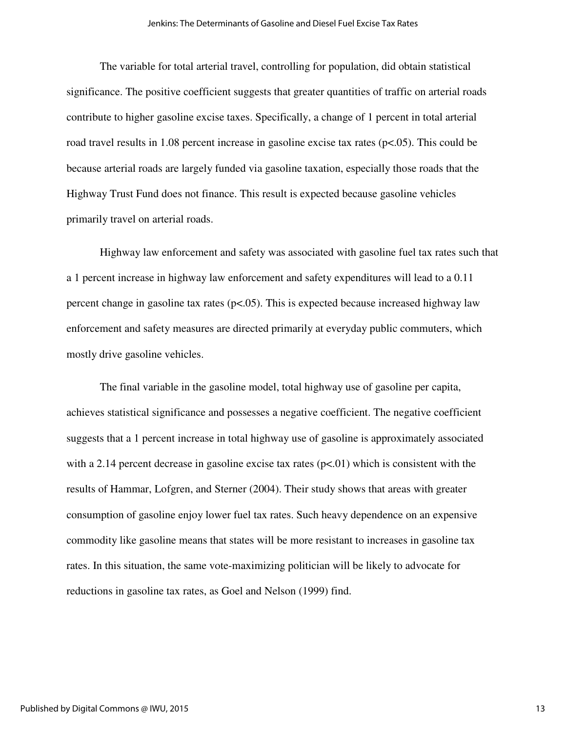The variable for total arterial travel, controlling for population, did obtain statistical significance. The positive coefficient suggests that greater quantities of traffic on arterial roads contribute to higher gasoline excise taxes. Specifically, a change of 1 percent in total arterial road travel results in 1.08 percent increase in gasoline excise tax rates (p<.05). This could be because arterial roads are largely funded via gasoline taxation, especially those roads that the Highway Trust Fund does not finance. This result is expected because gasoline vehicles primarily travel on arterial roads.

Highway law enforcement and safety was associated with gasoline fuel tax rates such that a 1 percent increase in highway law enforcement and safety expenditures will lead to a 0.11 percent change in gasoline tax rates  $(p<.05)$ . This is expected because increased highway law enforcement and safety measures are directed primarily at everyday public commuters, which mostly drive gasoline vehicles.

 The final variable in the gasoline model, total highway use of gasoline per capita, achieves statistical significance and possesses a negative coefficient. The negative coefficient suggests that a 1 percent increase in total highway use of gasoline is approximately associated with a 2.14 percent decrease in gasoline excise tax rates ( $p<0$ ) which is consistent with the results of Hammar, Lofgren, and Sterner (2004). Their study shows that areas with greater consumption of gasoline enjoy lower fuel tax rates. Such heavy dependence on an expensive commodity like gasoline means that states will be more resistant to increases in gasoline tax rates. In this situation, the same vote-maximizing politician will be likely to advocate for reductions in gasoline tax rates, as Goel and Nelson (1999) find.

13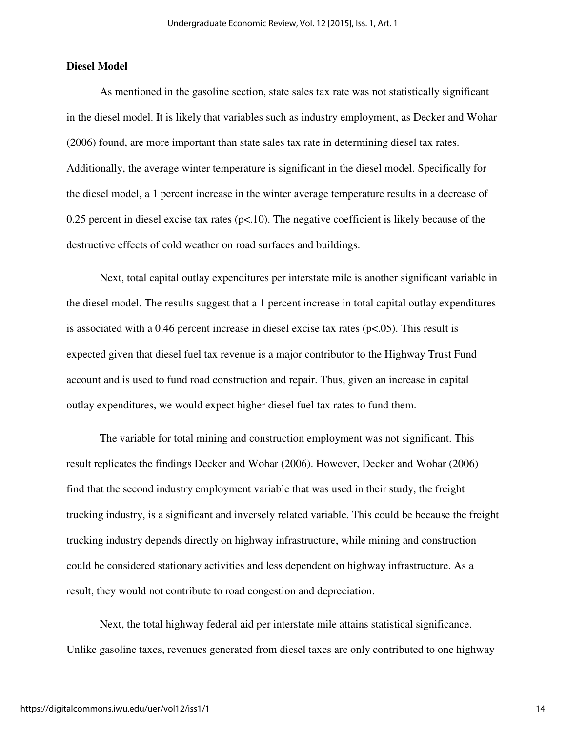## **Diesel Model**

As mentioned in the gasoline section, state sales tax rate was not statistically significant in the diesel model. It is likely that variables such as industry employment, as Decker and Wohar (2006) found, are more important than state sales tax rate in determining diesel tax rates. Additionally, the average winter temperature is significant in the diesel model. Specifically for the diesel model, a 1 percent increase in the winter average temperature results in a decrease of 0.25 percent in diesel excise tax rates ( $p<10$ ). The negative coefficient is likely because of the destructive effects of cold weather on road surfaces and buildings.

 Next, total capital outlay expenditures per interstate mile is another significant variable in the diesel model. The results suggest that a 1 percent increase in total capital outlay expenditures is associated with a 0.46 percent increase in diesel excise tax rates ( $p<0.05$ ). This result is expected given that diesel fuel tax revenue is a major contributor to the Highway Trust Fund account and is used to fund road construction and repair. Thus, given an increase in capital outlay expenditures, we would expect higher diesel fuel tax rates to fund them.

 The variable for total mining and construction employment was not significant. This result replicates the findings Decker and Wohar (2006). However, Decker and Wohar (2006) find that the second industry employment variable that was used in their study, the freight trucking industry, is a significant and inversely related variable. This could be because the freight trucking industry depends directly on highway infrastructure, while mining and construction could be considered stationary activities and less dependent on highway infrastructure. As a result, they would not contribute to road congestion and depreciation.

 Next, the total highway federal aid per interstate mile attains statistical significance. Unlike gasoline taxes, revenues generated from diesel taxes are only contributed to one highway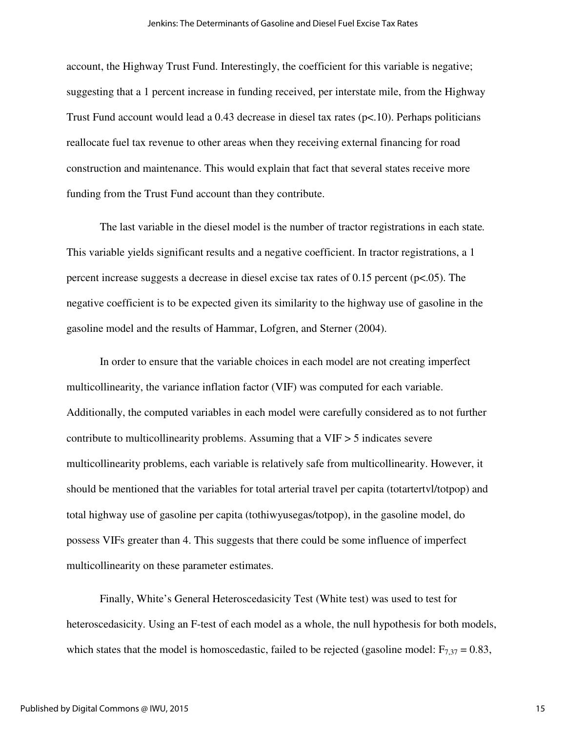account, the Highway Trust Fund. Interestingly, the coefficient for this variable is negative; suggesting that a 1 percent increase in funding received, per interstate mile, from the Highway Trust Fund account would lead a 0.43 decrease in diesel tax rates (p<.10). Perhaps politicians reallocate fuel tax revenue to other areas when they receiving external financing for road construction and maintenance. This would explain that fact that several states receive more funding from the Trust Fund account than they contribute.

 The last variable in the diesel model is the number of tractor registrations in each state*.* This variable yields significant results and a negative coefficient. In tractor registrations, a 1 percent increase suggests a decrease in diesel excise tax rates of 0.15 percent (p<.05). The negative coefficient is to be expected given its similarity to the highway use of gasoline in the gasoline model and the results of Hammar, Lofgren, and Sterner (2004).

In order to ensure that the variable choices in each model are not creating imperfect multicollinearity, the variance inflation factor (VIF) was computed for each variable. Additionally, the computed variables in each model were carefully considered as to not further contribute to multicollinearity problems. Assuming that a VIF > 5 indicates severe multicollinearity problems, each variable is relatively safe from multicollinearity. However, it should be mentioned that the variables for total arterial travel per capita (totartertvl/totpop) and total highway use of gasoline per capita (tothiwyusegas/totpop), in the gasoline model, do possess VIFs greater than 4. This suggests that there could be some influence of imperfect multicollinearity on these parameter estimates.

Finally, White's General Heteroscedasicity Test (White test) was used to test for heteroscedasicity. Using an F-test of each model as a whole, the null hypothesis for both models, which states that the model is homoscedastic, failed to be rejected (gasoline model:  $F_{7,37} = 0.83$ ,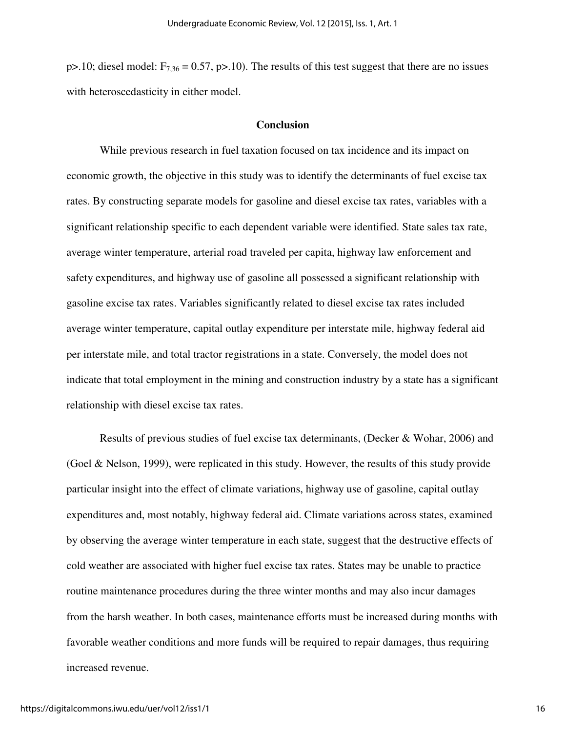p>.10; diesel model:  $F_{7,36} = 0.57$ , p>.10). The results of this test suggest that there are no issues with heteroscedasticity in either model.

#### **Conclusion**

While previous research in fuel taxation focused on tax incidence and its impact on economic growth, the objective in this study was to identify the determinants of fuel excise tax rates. By constructing separate models for gasoline and diesel excise tax rates, variables with a significant relationship specific to each dependent variable were identified. State sales tax rate, average winter temperature, arterial road traveled per capita, highway law enforcement and safety expenditures, and highway use of gasoline all possessed a significant relationship with gasoline excise tax rates. Variables significantly related to diesel excise tax rates included average winter temperature, capital outlay expenditure per interstate mile, highway federal aid per interstate mile, and total tractor registrations in a state. Conversely, the model does not indicate that total employment in the mining and construction industry by a state has a significant relationship with diesel excise tax rates.

Results of previous studies of fuel excise tax determinants, (Decker & Wohar, 2006) and (Goel & Nelson, 1999), were replicated in this study. However, the results of this study provide particular insight into the effect of climate variations, highway use of gasoline, capital outlay expenditures and, most notably, highway federal aid. Climate variations across states, examined by observing the average winter temperature in each state, suggest that the destructive effects of cold weather are associated with higher fuel excise tax rates. States may be unable to practice routine maintenance procedures during the three winter months and may also incur damages from the harsh weather. In both cases, maintenance efforts must be increased during months with favorable weather conditions and more funds will be required to repair damages, thus requiring increased revenue.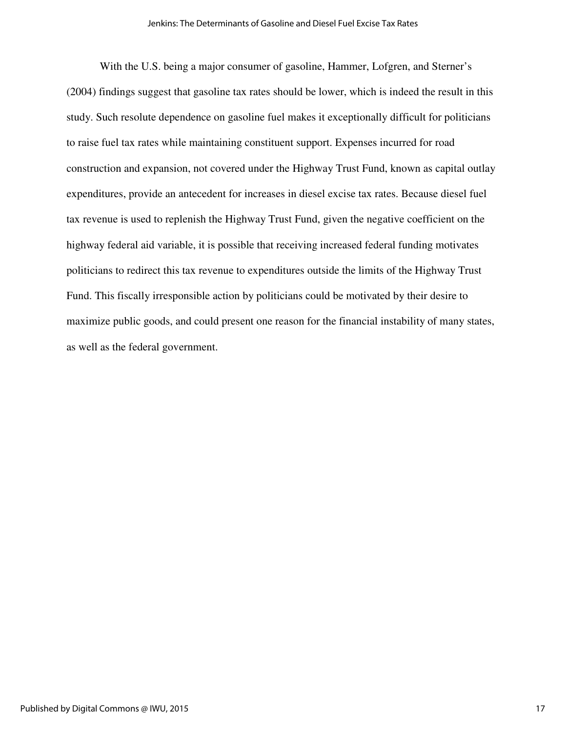With the U.S. being a major consumer of gasoline, Hammer, Lofgren, and Sterner's (2004) findings suggest that gasoline tax rates should be lower, which is indeed the result in this study. Such resolute dependence on gasoline fuel makes it exceptionally difficult for politicians to raise fuel tax rates while maintaining constituent support. Expenses incurred for road construction and expansion, not covered under the Highway Trust Fund, known as capital outlay expenditures, provide an antecedent for increases in diesel excise tax rates. Because diesel fuel tax revenue is used to replenish the Highway Trust Fund, given the negative coefficient on the highway federal aid variable, it is possible that receiving increased federal funding motivates politicians to redirect this tax revenue to expenditures outside the limits of the Highway Trust Fund. This fiscally irresponsible action by politicians could be motivated by their desire to maximize public goods, and could present one reason for the financial instability of many states, as well as the federal government.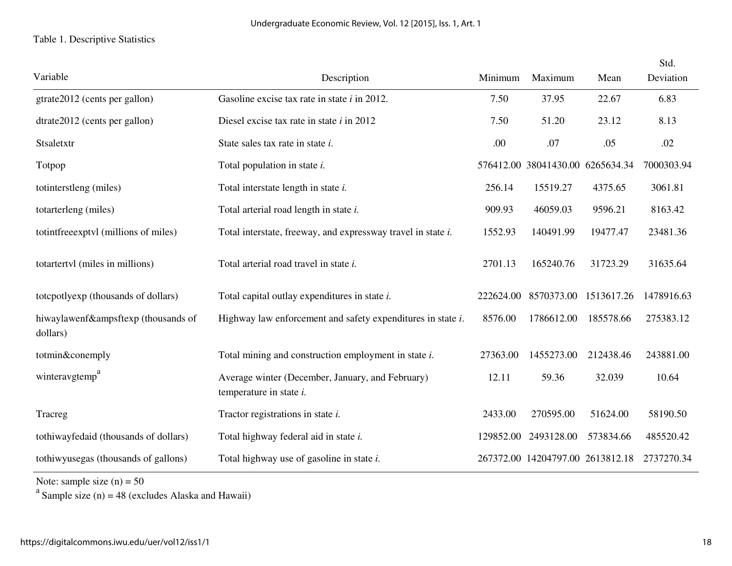## Table 1. Descriptive Statistics

| Variable                                        | Description                                                                    | Minimum   | Maximum                          | Mean       | Std.<br>Deviation |
|-------------------------------------------------|--------------------------------------------------------------------------------|-----------|----------------------------------|------------|-------------------|
| gtrate2012 (cents per gallon)                   | Gasoline excise tax rate in state <i>i</i> in 2012.                            | 7.50      | 37.95                            | 22.67      | 6.83              |
| dtrate2012 (cents per gallon)                   | Diesel excise tax rate in state $i$ in 2012                                    | 7.50      | 51.20                            | 23.12      | 8.13              |
| Stsaletxtr                                      | State sales tax rate in state <i>i</i> .                                       | .00.      | .07                              | .05        | .02               |
| Totpop                                          | Total population in state <i>i</i> .                                           |           | 576412.00 38041430.00 6265634.34 |            | 7000303.94        |
| totinterstleng (miles)                          | Total interstate length in state <i>i</i> .                                    | 256.14    | 15519.27                         | 4375.65    | 3061.81           |
| totarterleng (miles)                            | Total arterial road length in state i.                                         | 909.93    | 46059.03                         | 9596.21    | 8163.42           |
| totintfree exptvl (millions of miles)           | Total interstate, freeway, and expressway travel in state <i>i</i> .           | 1552.93   | 140491.99                        | 19477.47   | 23481.36          |
| totartertyl (miles in millions)                 | Total arterial road travel in state i.                                         | 2701.13   | 165240.76                        | 31723.29   | 31635.64          |
| totcpotlyexp (thousands of dollars)             | Total capital outlay expenditures in state <i>i</i> .                          | 222624.00 | 8570373.00                       | 1513617.26 | 1478916.63        |
| hiwaylawenf&ampsftexp (thousands of<br>dollars) | Highway law enforcement and safety expenditures in state <i>i</i> .            | 8576.00   | 1786612.00                       | 185578.66  | 275383.12         |
| totmin&conemply                                 | Total mining and construction employment in state <i>i</i> .                   | 27363.00  | 1455273.00                       | 212438.46  | 243881.00         |
| winteravgtemp <sup>a</sup>                      | Average winter (December, January, and February)<br>temperature in state $i$ . | 12.11     | 59.36                            | 32.039     | 10.64             |
| Tracreg                                         | Tractor registrations in state <i>i</i> .                                      | 2433.00   | 270595.00                        | 51624.00   | 58190.50          |
| tothiwayfedaid (thousands of dollars)           | Total highway federal aid in state i.                                          | 129852.00 | 2493128.00                       | 573834.66  | 485520.42         |
| tothiwyusegas (thousands of gallons)            | Total highway use of gasoline in state <i>i</i> .                              |           | 267372.00 14204797.00 2613812.18 |            | 2737270.34        |

Note: sample size  $(n) = 50$ <br><sup>a</sup> Sample size  $(n) = 48$  (excludes Alaska and Hawaii)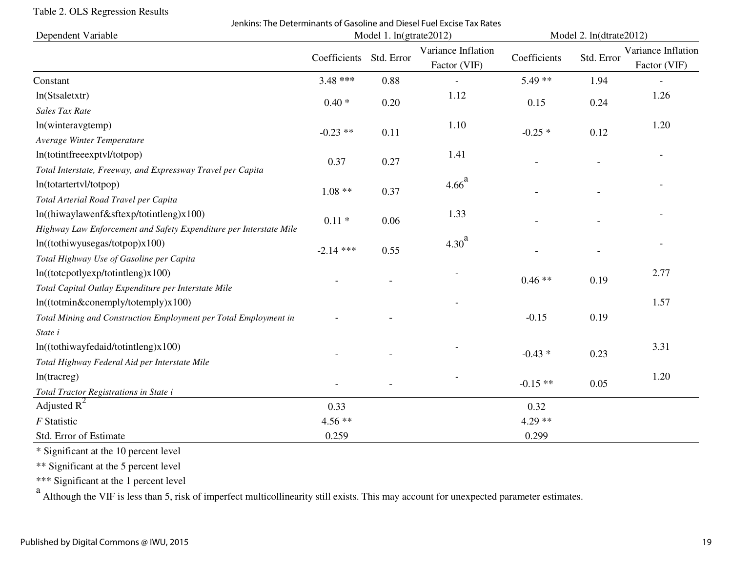## Table 2. OLS Regression Results

Jenkins: The Determinants of Gasoline and Diesel Fuel Excise Tax Rates

| Dependent Variable                                                 | Model 1. ln(gtrate2012) |            |                                    | Model 2. ln(dtrate2012) |            |                                    |
|--------------------------------------------------------------------|-------------------------|------------|------------------------------------|-------------------------|------------|------------------------------------|
|                                                                    | Coefficients            | Std. Error | Variance Inflation<br>Factor (VIF) | Coefficients            | Std. Error | Variance Inflation<br>Factor (VIF) |
| Constant                                                           | $3.48$ ***              | 0.88       |                                    | $5.49**$                | 1.94       |                                    |
| ln(Stsaletxtr)                                                     | $0.40*$                 | 0.20       | 1.12                               | 0.15                    | 0.24       | 1.26                               |
| <b>Sales Tax Rate</b>                                              |                         |            |                                    |                         |            |                                    |
| ln(winteravgtemp)                                                  | $-0.23$ **              | 0.11       | 1.10                               | $-0.25*$                | 0.12       | 1.20                               |
| Average Winter Temperature                                         |                         |            |                                    |                         |            |                                    |
| ln(totintfreeexptvl/totpop)                                        | 0.37                    | 0.27       | 1.41                               |                         |            |                                    |
| Total Interstate, Freeway, and Expressway Travel per Capita        |                         |            |                                    |                         |            |                                    |
| ln(totartertvl/totpop)                                             | $1.08**$                | 0.37       | 4.66 <sup>a</sup>                  |                         |            |                                    |
| Total Arterial Road Travel per Capita                              |                         |            |                                    |                         |            |                                    |
| ln((hiwaylawenf&sftexp/totintleng)x100)                            | $0.11 *$                | 0.06       | 1.33                               |                         |            |                                    |
| Highway Law Enforcement and Safety Expenditure per Interstate Mile |                         |            |                                    |                         |            |                                    |
| $ln((\text{tothiwyusegas/totpop}) \times 100)$                     | $-2.14$ ***             | 0.55       | 4.30 <sup>a</sup>                  |                         |            |                                    |
| Total Highway Use of Gasoline per Capita                           |                         |            |                                    |                         |            |                                    |
| ln((totceptly exp/totintleng)x100)                                 |                         |            |                                    | $0.46**$                | 0.19       | 2.77                               |
| Total Capital Outlay Expenditure per Interstate Mile               |                         |            |                                    |                         |            |                                    |
| $ln((\text{totmin}\&\text{conemply/totemply})\times100)$           |                         |            |                                    |                         |            | 1.57                               |
| Total Mining and Construction Employment per Total Employment in   |                         |            |                                    | $-0.15$                 | 0.19       |                                    |
| State i                                                            |                         |            |                                    |                         |            |                                    |
| $ln((\text{tothiwayfedaid/totintleng}) \times 100)$                |                         |            |                                    | $-0.43*$                | 0.23       | 3.31                               |
| Total Highway Federal Aid per Interstate Mile                      |                         |            |                                    |                         |            |                                    |
| $ln(t \, \text{acreg})$                                            |                         |            |                                    | $-0.15**$               | 0.05       | 1.20                               |
| Total Tractor Registrations in State i                             |                         |            |                                    |                         |            |                                    |
| Adjusted $R^2$                                                     | 0.33                    |            |                                    | 0.32                    |            |                                    |
| F Statistic                                                        | $4.56**$                |            |                                    | $4.29**$                |            |                                    |
| Std. Error of Estimate                                             | 0.259                   |            |                                    | 0.299                   |            |                                    |

\* Significant at the 10 percent level

\*\* Significant at the 5 percent level

\*\*\* Significant at the 1 percent level

<sup>a</sup> Although the VIF is less than 5, risk of imperfect multicollinearity still exists. This may account for unexpected parameter estimates.